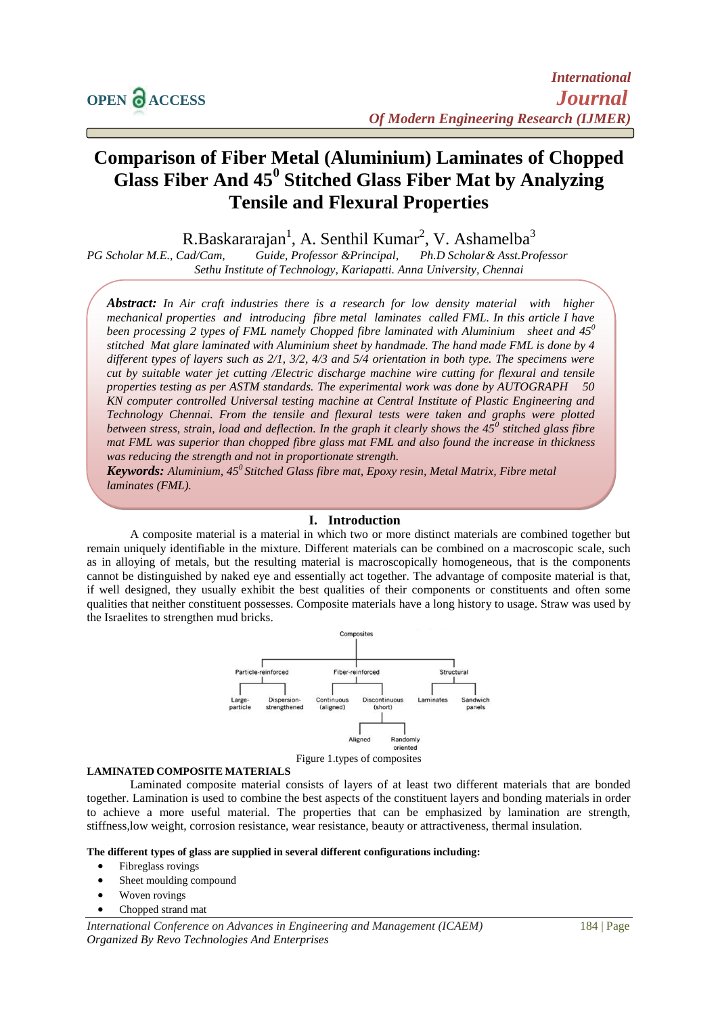# **Comparison of Fiber Metal (Aluminium) Laminates of Chopped Glass Fiber And 45<sup>0</sup> Stitched Glass Fiber Mat by Analyzing Tensile and Flexural Properties**

R.Baskararajan<sup>1</sup>, A. Senthil Kumar<sup>2</sup>, V. Ashamelba<sup>3</sup>

*PG Scholar M.E., Cad/Cam, Guide, Professor &Principal, Ph.D Scholar& Asst.Professor Sethu Institute of Technology, Kariapatti. Anna University, Chennai*

*Abstract: In Air craft industries there is a research for low density material with higher mechanical properties and introducing fibre metal laminates called FML. In this article I have been processing 2 types of FML namely Chopped fibre laminated with Aluminium sheet and 45<sup>0</sup> stitched Mat glare laminated with Aluminium sheet by handmade. The hand made FML is done by 4 different types of layers such as 2/1, 3/2, 4/3 and 5/4 orientation in both type. The specimens were cut by suitable water jet cutting /Electric discharge machine wire cutting for flexural and tensile properties testing as per ASTM standards. The experimental work was done by AUTOGRAPH 50 KN computer controlled Universal testing machine at Central Institute of Plastic Engineering and Technology Chennai. From the tensile and flexural tests were taken and graphs were plotted between stress, strain, load and deflection. In the graph it clearly shows the 45<sup>0</sup> stitched glass fibre mat FML was superior than chopped fibre glass mat FML and also found the increase in thickness was reducing the strength and not in proportionate strength.*

*Keywords: Aluminium, 45<sup>0</sup>Stitched Glass fibre mat, Epoxy resin, Metal Matrix, Fibre metal laminates (FML).*

## **I. Introduction**

A composite material is a material in which two or more distinct materials are combined together but remain uniquely identifiable in the mixture. Different materials can be combined on a macroscopic scale, such as in alloying of metals, but the resulting material is macroscopically homogeneous, that is the components cannot be distinguished by naked eye and essentially act together. The advantage of composite material is that, if well designed, they usually exhibit the best qualities of their components or constituents and often some qualities that neither constituent possesses. Composite materials have a long history to usage. Straw was used by the Israelites to strengthen mud bricks.



#### Figure 1.types of composites

#### **LAMINATED COMPOSITE MATERIALS**

Laminated composite material consists of layers of at least two different materials that are bonded together. Lamination is used to combine the best aspects of the constituent layers and bonding materials in order to achieve a more useful material. The properties that can be emphasized by lamination are strength, stiffness,low weight, corrosion resistance, wear resistance, beauty or attractiveness, thermal insulation.

#### **The different types of glass are supplied in several different configurations including:**

- Fibreglass rovings
- Sheet moulding compound
- Woven rovings
- Chopped strand mat

*International Conference on Advances in Engineering and Management (ICAEM)* 184 | Page *Organized By Revo Technologies And Enterprises*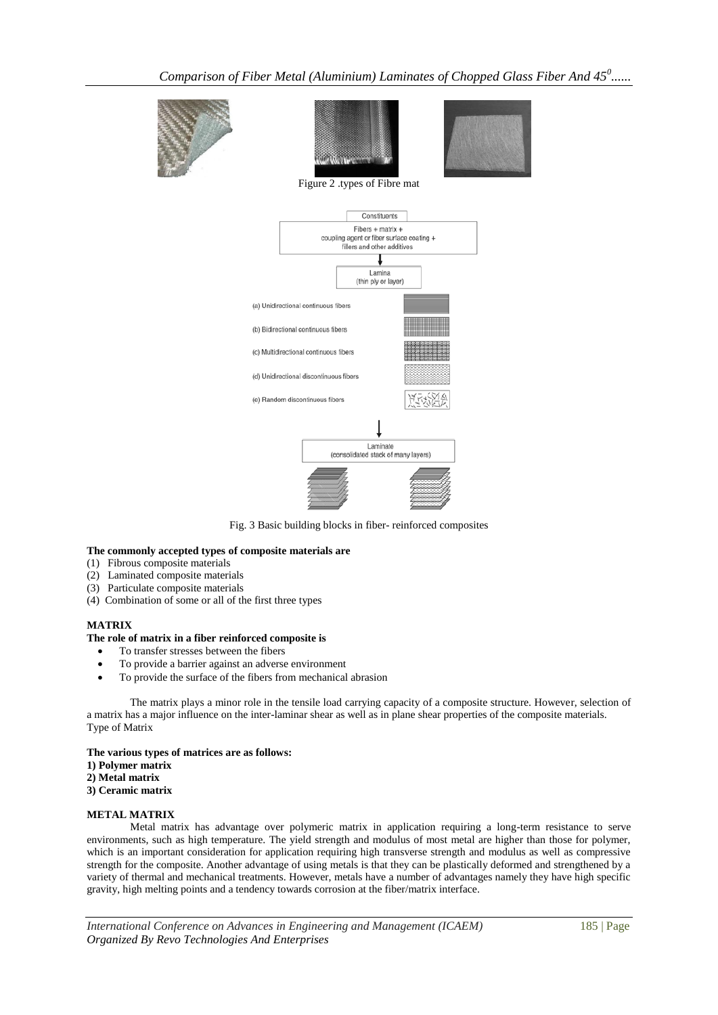





Figure 2 .types of Fibre mat



Fig. 3 Basic building blocks in fiber- reinforced composites

#### **The commonly accepted types of composite materials are**

- (1) Fibrous composite materials
- (2) Laminated composite materials
- (3) Particulate composite materials
- (4) Combination of some or all of the first three types

## **MATRIX**

#### **The role of matrix in a fiber reinforced composite is**

- To transfer stresses between the fibers
- To provide a barrier against an adverse environment
- To provide the surface of the fibers from mechanical abrasion

The matrix plays a minor role in the tensile load carrying capacity of a composite structure. However, selection of a matrix has a major influence on the inter-laminar shear as well as in plane shear properties of the composite materials. Type of Matrix

**The various types of matrices are as follows: 1) Polymer matrix**

- **2) Metal matrix**
- **3) Ceramic matrix**

## **METAL MATRIX**

Metal matrix has advantage over polymeric matrix in application requiring a long-term resistance to serve environments, such as high temperature. The yield strength and modulus of most metal are higher than those for polymer, which is an important consideration for application requiring high transverse strength and modulus as well as compressive strength for the composite. Another advantage of using metals is that they can be plastically deformed and strengthened by a variety of thermal and mechanical treatments. However, metals have a number of advantages namely they have high specific gravity, high melting points and a tendency towards corrosion at the fiber/matrix interface.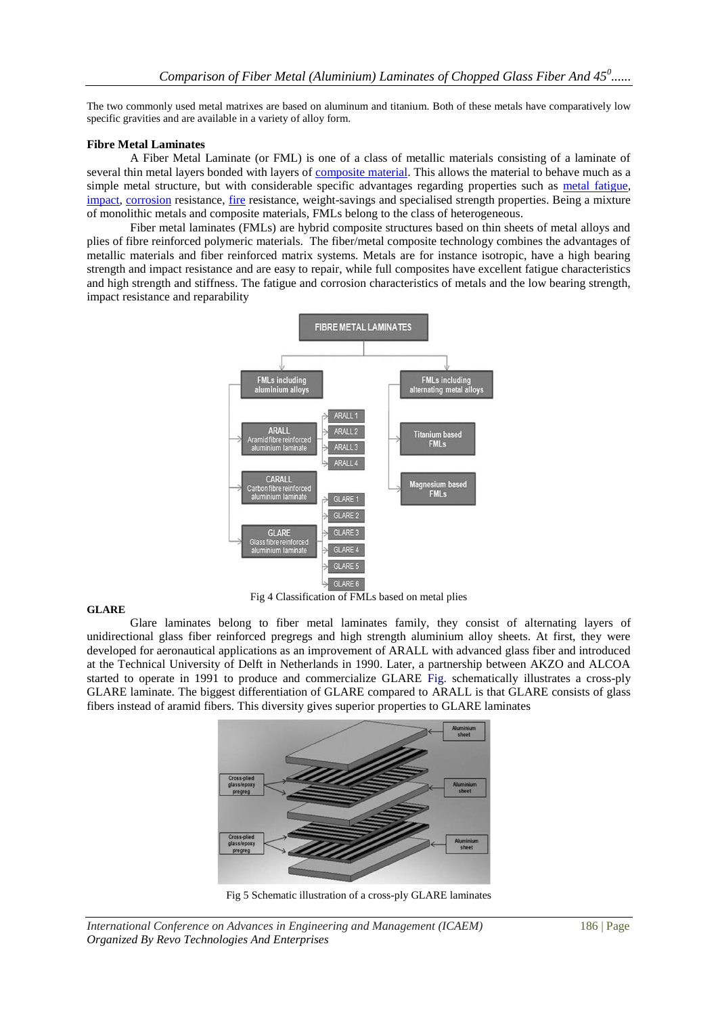The two commonly used metal matrixes are based on aluminum and titanium. Both of these metals have comparatively low specific gravities and are available in a variety of alloy form.

#### **Fibre Metal Laminates**

A Fiber Metal Laminate (or FML) is one of a class of metallic materials consisting of a laminate of several thin metal layers bonded with layers o[f composite material.](http://en.wikipedia.org/wiki/Composite_material) This allows the material to behave much as a simple metal structure, but with considerable specific advantages regarding properties such as [metal fatigue,](http://en.wikipedia.org/wiki/Metal_fatigue) [impact,](http://en.wikipedia.org/wiki/Impact_(mechanics)) [corrosion](http://en.wikipedia.org/wiki/Corrosion) resistance, [fire](http://en.wikipedia.org/wiki/Fire) resistance, weight-savings and specialised strength properties. Being a mixture of monolithic metals and composite materials, FMLs belong to the class of heterogeneous.

Fiber metal laminates (FMLs) are hybrid composite structures based on thin sheets of metal alloys and plies of fibre reinforced polymeric materials. The fiber/metal composite technology combines the advantages of metallic materials and fiber reinforced matrix systems. Metals are for instance isotropic, have a high bearing strength and impact resistance and are easy to repair, while full composites have excellent fatigue characteristics and high strength and stiffness. The fatigue and corrosion characteristics of metals and the low bearing strength, impact resistance and reparability



#### Fig 4 Classification of FMLs based on metal plies

#### **GLARE**

Glare laminates belong to fiber metal laminates family, they consist of alternating layers of unidirectional glass fiber reinforced pregregs and high strength aluminium alloy sheets. At first, they were developed for aeronautical applications as an improvement of ARALL with advanced glass fiber and introduced at the Technical University of Delft in Netherlands in 1990. Later, a partnership between AKZO and ALCOA started to operate in 1991 to produce and commercialize GLARE Fig. schematically illustrates a cross-ply GLARE laminate. The biggest differentiation of GLARE compared to ARALL is that GLARE consists of glass fibers instead of aramid fibers. This diversity gives superior properties to GLARE laminates



Fig 5 Schematic illustration of a cross-ply GLARE laminates

*International Conference on Advances in Engineering and Management (ICAEM)* 186 | Page *Organized By Revo Technologies And Enterprises*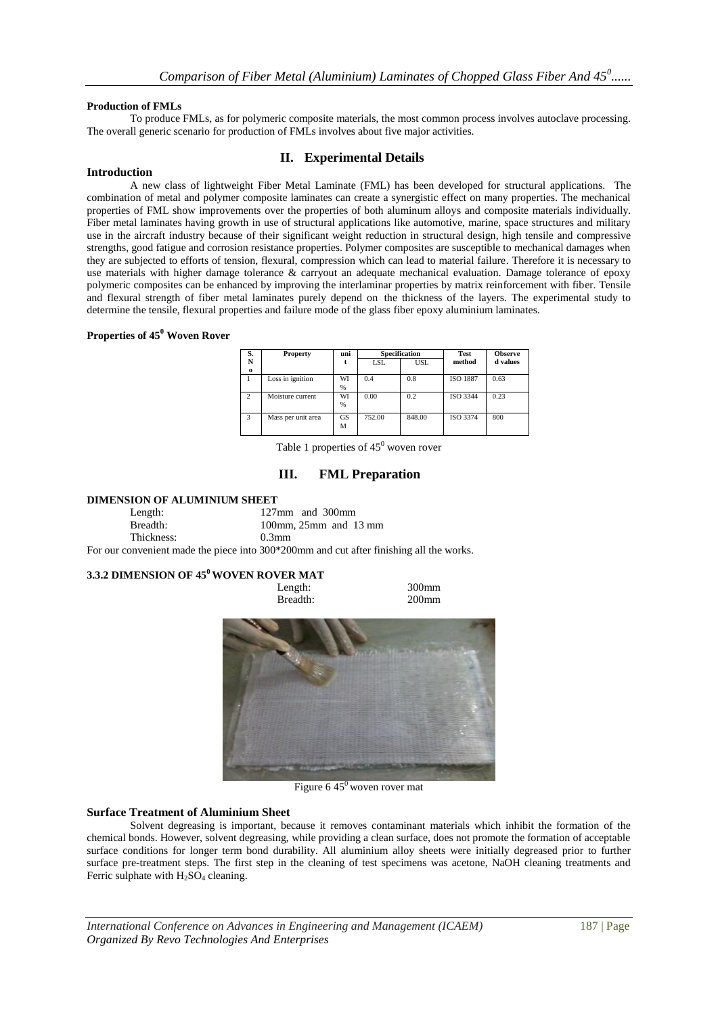#### **Production of FMLs**

To produce FMLs, as for polymeric composite materials, the most common process involves autoclave processing. The overall generic scenario for production of FMLs involves about five major activities.

## **II. Experimental Details**

#### **Introduction**

A new class of lightweight Fiber Metal Laminate (FML) has been developed for structural applications. The combination of metal and polymer composite laminates can create a synergistic effect on many properties. The mechanical properties of FML show improvements over the properties of both aluminum alloys and composite materials individually. Fiber metal laminates having growth in use of structural applications like automotive, marine, space structures and military use in the aircraft industry because of their significant weight reduction in structural design, high tensile and compressive strengths, good fatigue and corrosion resistance properties. Polymer composites are susceptible to mechanical damages when they are subjected to efforts of tension, flexural, compression which can lead to material failure. Therefore it is necessary to use materials with higher damage tolerance & carryout an adequate mechanical evaluation. Damage tolerance of epoxy polymeric composites can be enhanced by improving the interlaminar properties by matrix reinforcement with fiber. Tensile and flexural strength of fiber metal laminates purely depend on the thickness of the layers. The experimental study to determine the tensile, flexural properties and failure mode of the glass fiber epoxy aluminium laminates.

#### **Properties of 45<sup>0</sup> Woven Rover**

| S.             | <b>Property</b>    | uni |            | <b>Specification</b> | Test            | <b>Observe</b> |
|----------------|--------------------|-----|------------|----------------------|-----------------|----------------|
| N              |                    |     | <b>LSL</b> | <b>USL</b>           | method          | d values       |
| $\bf{o}$       |                    |     |            |                      |                 |                |
|                | Loss in ignition   | WI  | 0.4        | 0.8                  | <b>ISO 1887</b> | 0.63           |
|                |                    | %   |            |                      |                 |                |
| $\overline{c}$ | Moisture current   | WI  | 0.00       | 0.2                  | ISO 3344        | 0.23           |
|                |                    | %   |            |                      |                 |                |
| 3              | Mass per unit area | GS  | 752.00     | 848.00               | ISO 3374        | 800            |
|                |                    | М   |            |                      |                 |                |
|                |                    |     |            |                      |                 |                |

Table 1 properties of  $45^{\circ}$  woven rover

## **III. FML Preparation**

#### **DIMENSION OF ALUMINIUM SHEET**

| Length:    | $127 \text{mm}$ and $300 \text{mm}$                                                     |
|------------|-----------------------------------------------------------------------------------------|
| Breadth:   | 100mm, $25$ mm and 13 mm                                                                |
| Thickness: | $0.3$ mm                                                                                |
|            | For our convenient made the piece into 300*200mm and cut after finishing all the works. |

# **3.3.2 DIMENSION OF 45<sup>0</sup>WOVEN ROVER MAT**



Figure  $645^{\circ}$  woven rover mat

#### **Surface Treatment of Aluminium Sheet**

Solvent degreasing is important, because it removes contaminant materials which inhibit the formation of the chemical bonds. However, solvent degreasing, while providing a clean surface, does not promote the formation of acceptable surface conditions for longer term bond durability. All aluminium alloy sheets were initially degreased prior to further surface pre-treatment steps. The first step in the cleaning of test specimens was acetone, NaOH cleaning treatments and Ferric sulphate with  $H_2SO_4$  cleaning.

*International Conference on Advances in Engineering and Management (ICAEM)* 187 | Page *Organized By Revo Technologies And Enterprises*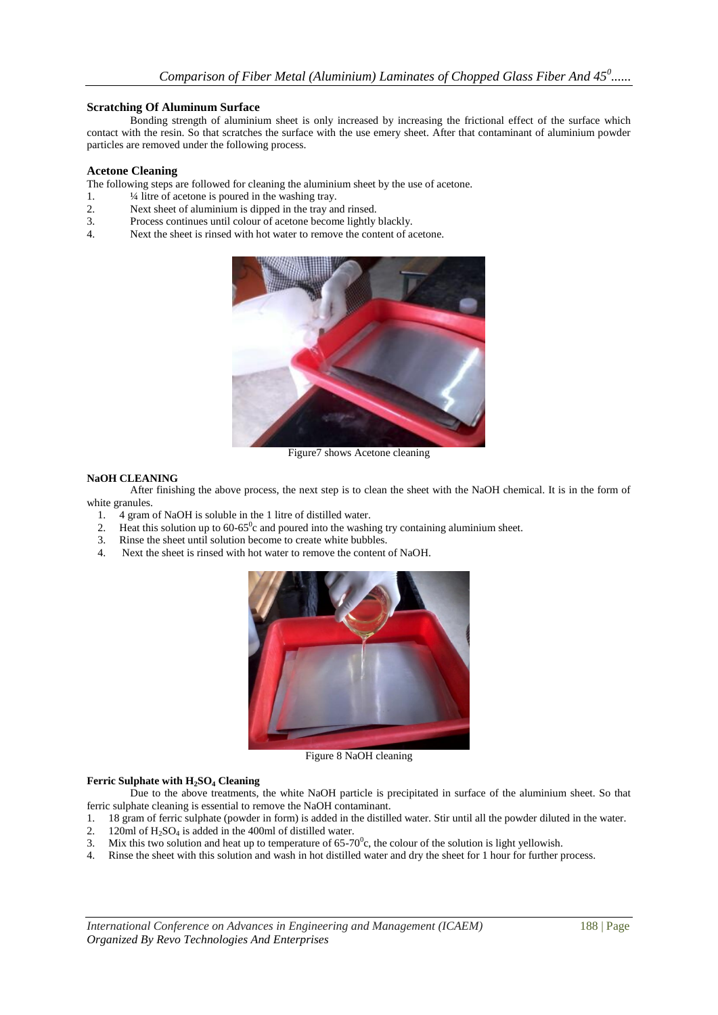#### **Scratching Of Aluminum Surface**

Bonding strength of aluminium sheet is only increased by increasing the frictional effect of the surface which contact with the resin. So that scratches the surface with the use emery sheet. After that contaminant of aluminium powder particles are removed under the following process.

#### **Acetone Cleaning**

The following steps are followed for cleaning the aluminium sheet by the use of acetone.

- 1.  $\frac{1}{4}$  litre of acetone is poured in the washing tray.
- 2. Next sheet of aluminium is dipped in the tray and rinsed.
- 3. Process continues until colour of acetone become lightly blackly.
- 4. Next the sheet is rinsed with hot water to remove the content of acetone.



Figure7 shows Acetone cleaning

#### **NaOH CLEANING**

After finishing the above process, the next step is to clean the sheet with the NaOH chemical. It is in the form of white granules.<br>1.  $4 \text{ gram}$ 

- 1. 4 gram of NaOH is soluble in the 1 litre of distilled water.
- 2. Heat this solution up to  $60-65^\circ$ c and poured into the washing try containing aluminium sheet.
- 3. Rinse the sheet until solution become to create white bubbles.
- 4. Next the sheet is rinsed with hot water to remove the content of NaOH.



Figure 8 NaOH cleaning

#### **Ferric Sulphate with H2SO<sup>4</sup> Cleaning**

Due to the above treatments, the white NaOH particle is precipitated in surface of the aluminium sheet. So that ferric sulphate cleaning is essential to remove the NaOH contaminant.

- 1. 18 gram of ferric sulphate (powder in form) is added in the distilled water. Stir until all the powder diluted in the water.
- 2. 120ml of  $H_2SO_4$  is added in the 400ml of distilled water.
- 3. Mix this two solution and heat up to temperature of  $65-70^{\circ}$ c, the colour of the solution is light yellowish.
- 4. Rinse the sheet with this solution and wash in hot distilled water and dry the sheet for 1 hour for further process.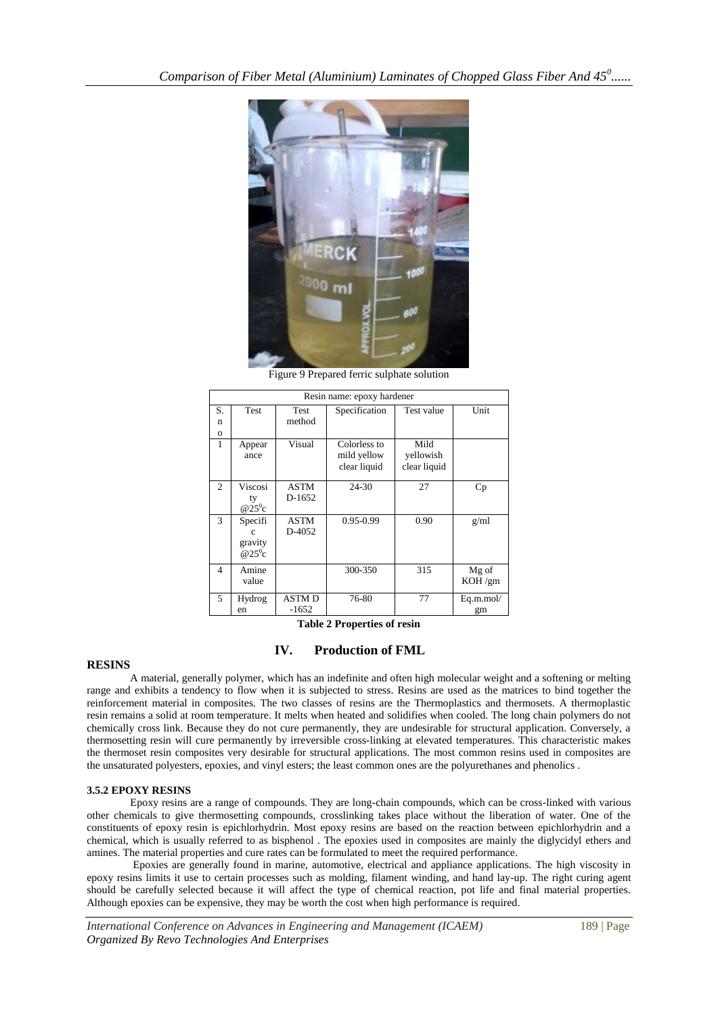

Figure 9 Prepared ferric sulphate solution

|                | Resin name: epoxy hardener |              |               |              |           |  |
|----------------|----------------------------|--------------|---------------|--------------|-----------|--|
| S.             | Test                       | Test         | Specification | Test value   | Unit      |  |
| n              |                            | method       |               |              |           |  |
| $\Omega$       |                            |              |               |              |           |  |
| 1              | Appear                     | Visual       | Colorless to  | Mild         |           |  |
|                | ance                       |              | mild yellow   | yellowish    |           |  |
|                |                            |              | clear liquid  | clear liquid |           |  |
|                |                            |              |               |              |           |  |
| $\mathfrak{D}$ | Viscosi                    | <b>ASTM</b>  | 24-30         | 27           | Cp        |  |
|                | ty                         | D-1652       |               |              |           |  |
|                | $\overline{Q}25^0C$        |              |               |              |           |  |
| 3              | Specifi                    | <b>ASTM</b>  | 0.95-0.99     | 0.90         | g/ml      |  |
|                | c                          | D-4052       |               |              |           |  |
|                | gravity                    |              |               |              |           |  |
|                | $@25\degree$ c             |              |               |              |           |  |
| $\overline{4}$ | Amine                      |              | 300-350       | 315          | Mg of     |  |
|                | value                      |              |               |              | KOH/gm    |  |
| 5              | Hydrog                     | <b>ASTMD</b> | 76-80         | 77           | Eq.m.mol/ |  |
|                | en                         | $-1652$      |               |              | gm        |  |

**Table 2 Properties of resin**

# **IV. Production of FML**

#### **RESINS**

A material, generally polymer, which has an indefinite and often high molecular weight and a softening or melting range and exhibits a tendency to flow when it is subjected to stress. Resins are used as the matrices to bind together the reinforcement material in composites. The two classes of resins are the Thermoplastics and thermosets. A thermoplastic resin remains a solid at room temperature. It melts when heated and solidifies when cooled. The long chain polymers do not chemically cross link. Because they do not cure permanently, they are undesirable for structural application. Conversely, a thermosetting resin will cure permanently by irreversible cross-linking at elevated temperatures. This characteristic makes the thermoset resin composites very desirable for structural applications. The most common resins used in composites are the unsaturated polyesters, epoxies, and vinyl esters; the least common ones are the polyurethanes and phenolics .

#### **3.5.2 EPOXY RESINS**

Epoxy resins are a range of compounds. They are long-chain compounds, which can be cross-linked with various other chemicals to give thermosetting compounds, crosslinking takes place without the liberation of water. One of the constituents of epoxy resin is epichlorhydrin. Most epoxy resins are based on the reaction between epichlorhydrin and a chemical, which is usually referred to as bisphenol . The epoxies used in composites are mainly the diglycidyl ethers and amines. The material properties and cure rates can be formulated to meet the required performance.

Epoxies are generally found in marine, automotive, electrical and appliance applications. The high viscosity in epoxy resins limits it use to certain processes such as molding, filament winding, and hand lay-up. The right curing agent should be carefully selected because it will affect the type of chemical reaction, pot life and final material properties. Although epoxies can be expensive, they may be worth the cost when high performance is required.

*International Conference on Advances in Engineering and Management (ICAEM)* 189 | Page *Organized By Revo Technologies And Enterprises*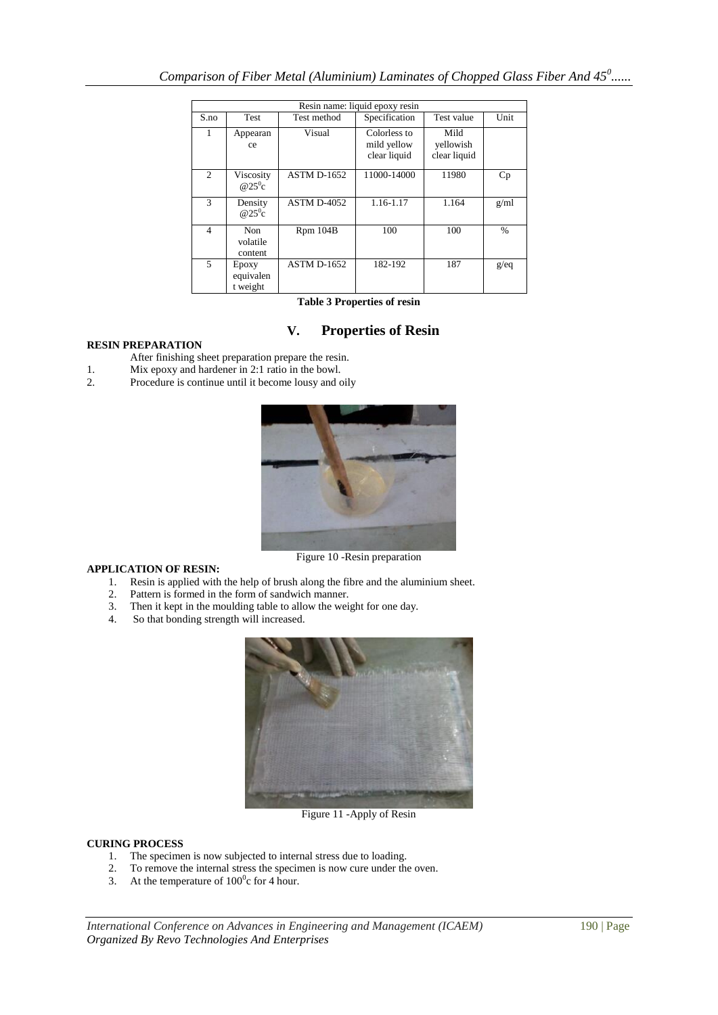| Resin name: liquid epoxy resin |                                   |                    |                                             |                                   |               |
|--------------------------------|-----------------------------------|--------------------|---------------------------------------------|-----------------------------------|---------------|
| S.no                           | <b>Test</b>                       | Test method        | Specification                               | Test value                        | Unit          |
|                                | Appearan<br>ce                    | Visual             | Colorless to<br>mild yellow<br>clear liquid | Mild<br>yellowish<br>clear liquid |               |
| $\mathcal{L}$                  | Viscosity<br>@ $25^{\circ}c$      | <b>ASTM D-1652</b> | 11000-14000                                 | 11980                             | Cp            |
| $\mathcal{F}$                  | Density<br>@ $25^{\circ}c$        | <b>ASTM D-4052</b> | 1.16-1.17                                   | 1.164                             | g/ml          |
| $\overline{4}$                 | <b>Non</b><br>volatile<br>content | Rpm 104B           | 100                                         | 100                               | $\frac{0}{0}$ |
| 5                              | Epoxy<br>equivalen<br>t weight    | <b>ASTM D-1652</b> | 182-192                                     | 187                               | g/eq          |

**Table 3 Properties of resin**

# **V. Properties of Resin**

## **RESIN PREPARATION**

- After finishing sheet preparation prepare the resin.
- 1. Mix epoxy and hardener in 2:1 ratio in the bowl.
- 2. Procedure is continue until it become lousy and oily



## **APPLICATION OF RESIN:**

- 1. Resin is applied with the help of brush along the fibre and the aluminium sheet.
- 2. Pattern is formed in the form of sandwich manner.
- 3. Then it kept in the moulding table to allow the weight for one day.
- 4. So that bonding strength will increased.



Figure 11 -Apply of Resin

## **CURING PROCESS**

- 1. The specimen is now subjected to internal stress due to loading.
- 2. To remove the internal stress the specimen is now cure under the oven.
- 3. At the temperature of  $100^{\circ}$ c for 4 hour.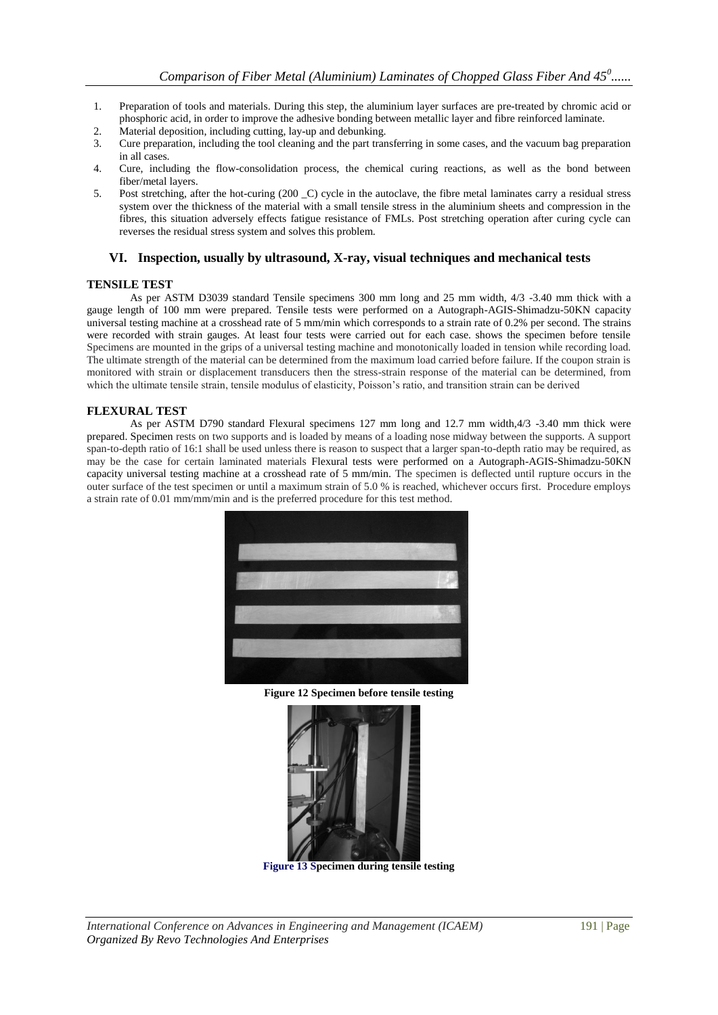- 1. Preparation of tools and materials. During this step, the aluminium layer surfaces are pre-treated by chromic acid or phosphoric acid, in order to improve the adhesive bonding between metallic layer and fibre reinforced laminate.
- 2. Material deposition, including cutting, lay-up and debunking.
- 3. Cure preparation, including the tool cleaning and the part transferring in some cases, and the vacuum bag preparation in all cases.
- 4. Cure, including the flow-consolidation process, the chemical curing reactions, as well as the bond between fiber/metal layers.
- 5. Post stretching, after the hot-curing (200 \_C) cycle in the autoclave, the fibre metal laminates carry a residual stress system over the thickness of the material with a small tensile stress in the aluminium sheets and compression in the fibres, this situation adversely effects fatigue resistance of FMLs. Post stretching operation after curing cycle can reverses the residual stress system and solves this problem.

## **VI. Inspection, usually by ultrasound, X-ray, visual techniques and mechanical tests**

## **TENSILE TEST**

As per ASTM D3039 standard Tensile specimens 300 mm long and 25 mm width, 4/3 -3.40 mm thick with a gauge length of 100 mm were prepared. Tensile tests were performed on a Autograph-AGIS-Shimadzu-50KN capacity universal testing machine at a crosshead rate of 5 mm/min which corresponds to a strain rate of 0.2% per second. The strains were recorded with strain gauges. At least four tests were carried out for each case. shows the specimen before tensile Specimens are mounted in the grips of a universal testing machine and monotonically loaded in tension while recording load. The ultimate strength of the material can be determined from the maximum load carried before failure. If the coupon strain is monitored with strain or displacement transducers then the stress-strain response of the material can be determined, from which the ultimate tensile strain, tensile modulus of elasticity, Poisson's ratio, and transition strain can be derived

## **FLEXURAL TEST**

As per ASTM D790 standard Flexural specimens 127 mm long and 12.7 mm width,4/3 -3.40 mm thick were prepared. Specimen rests on two supports and is loaded by means of a loading nose midway between the supports. A support span-to-depth ratio of 16:1 shall be used unless there is reason to suspect that a larger span-to-depth ratio may be required, as may be the case for certain laminated materials Flexural tests were performed on a Autograph-AGIS-Shimadzu-50KN capacity universal testing machine at a crosshead rate of 5 mm/min. The specimen is deflected until rupture occurs in the outer surface of the test specimen or until a maximum strain of 5.0 % is reached, whichever occurs first. Procedure employs a strain rate of 0.01 mm/mm/min and is the preferred procedure for this test method.



**Figure 12 Specimen before tensile testing**



**Figure 13 Specimen during tensile testing**

*International Conference on Advances in Engineering and Management (ICAEM)* 191 | Page *Organized By Revo Technologies And Enterprises*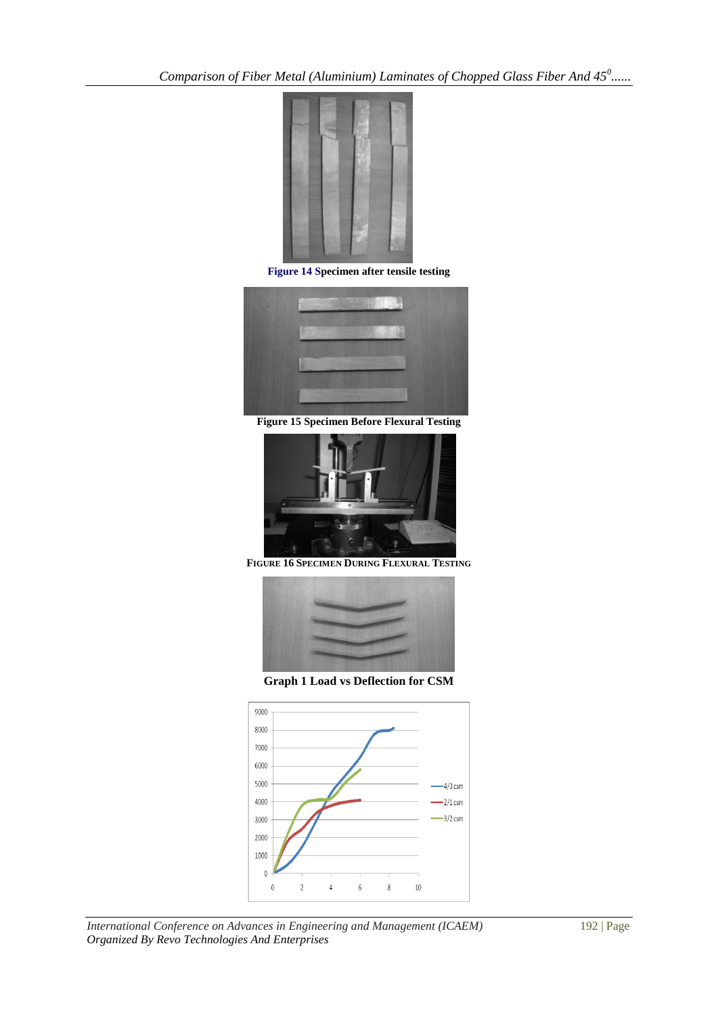*Comparison of Fiber Metal (Aluminium) Laminates of Chopped Glass Fiber And 45<sup>0</sup> ......*



**Figure 14 Specimen after tensile testing**



**Figure 15 Specimen Before Flexural Testing**



**FIGURE 16 SPECIMEN DURING FLEXURAL TESTING**



**Graph 1 Load vs Deflection for CSM**



*International Conference on Advances in Engineering and Management (ICAEM)* 192 | Page *Organized By Revo Technologies And Enterprises*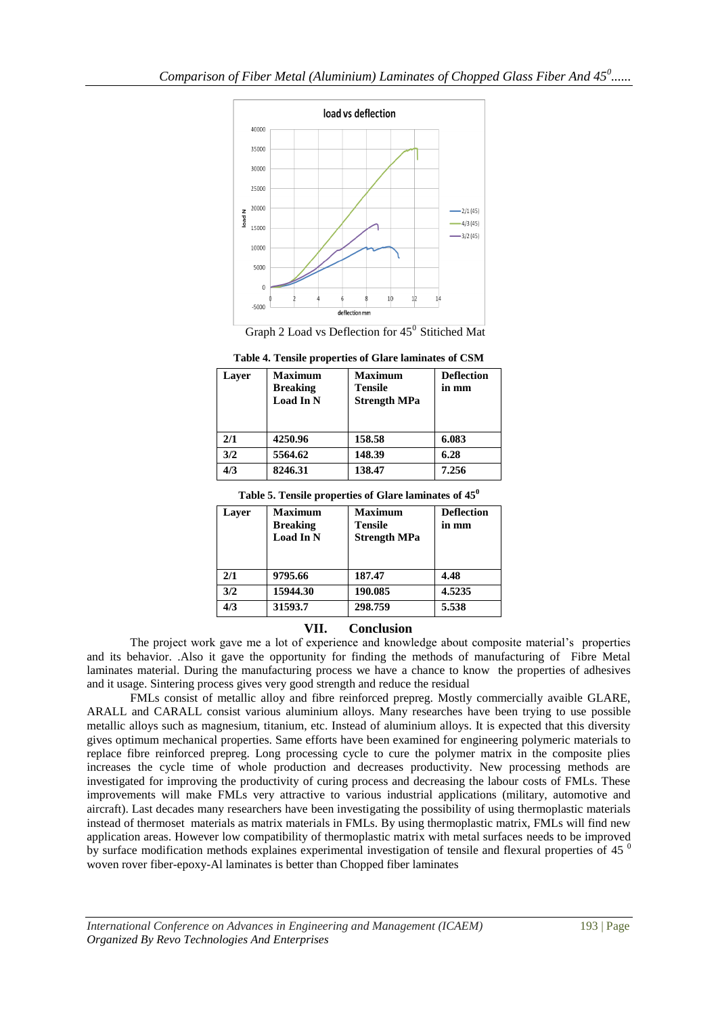



| Laver | <b>Maximum</b><br><b>Breaking</b><br><b>Load In N</b> | <b>Maximum</b><br><b>Tensile</b><br><b>Strength MPa</b> | <b>Deflection</b><br>in mm |
|-------|-------------------------------------------------------|---------------------------------------------------------|----------------------------|
| 2/1   | 4250.96                                               | 158.58                                                  | 6.083                      |
| 3/2   | 5564.62                                               | 148.39                                                  | 6.28                       |
| 4/3   | 8246.31                                               | 138.47                                                  | 7.256                      |

| Table 5. Tensile properties of Glare laminates of 45 <sup>0</sup> |                |                |                   |  |  |
|-------------------------------------------------------------------|----------------|----------------|-------------------|--|--|
| ayer                                                              | <b>Maximum</b> | <b>Maximum</b> | <b>Deflection</b> |  |  |

| Laver | <b>Maximum</b><br><b>Breaking</b><br>Load In N | <b>Maximum</b><br><b>Tensile</b><br><b>Strength MPa</b> | <b>Deflection</b><br>in mm |
|-------|------------------------------------------------|---------------------------------------------------------|----------------------------|
| 2/1   | 9795.66                                        | 187.47                                                  | 4.48                       |
| 3/2   | 15944.30                                       | 190.085                                                 | 4.5235                     |
| 4/3   | 31593.7                                        | 298.759                                                 | 5.538                      |

# **VII. Conclusion**

The project work gave me a lot of experience and knowledge about composite material"s properties and its behavior. .Also it gave the opportunity for finding the methods of manufacturing of Fibre Metal laminates material. During the manufacturing process we have a chance to know the properties of adhesives and it usage. Sintering process gives very good strength and reduce the residual

FMLs consist of metallic alloy and fibre reinforced prepreg. Mostly commercially avaible GLARE, ARALL and CARALL consist various aluminium alloys. Many researches have been trying to use possible metallic alloys such as magnesium, titanium, etc. Instead of aluminium alloys. It is expected that this diversity gives optimum mechanical properties. Same efforts have been examined for engineering polymeric materials to replace fibre reinforced prepreg. Long processing cycle to cure the polymer matrix in the composite plies increases the cycle time of whole production and decreases productivity. New processing methods are investigated for improving the productivity of curing process and decreasing the labour costs of FMLs. These improvements will make FMLs very attractive to various industrial applications (military, automotive and aircraft). Last decades many researchers have been investigating the possibility of using thermoplastic materials instead of thermoset materials as matrix materials in FMLs. By using thermoplastic matrix, FMLs will find new application areas. However low compatibility of thermoplastic matrix with metal surfaces needs to be improved by surface modification methods explaines experimental investigation of tensile and flexural properties of 45<sup>0</sup> woven rover fiber-epoxy-Al laminates is better than Chopped fiber laminates